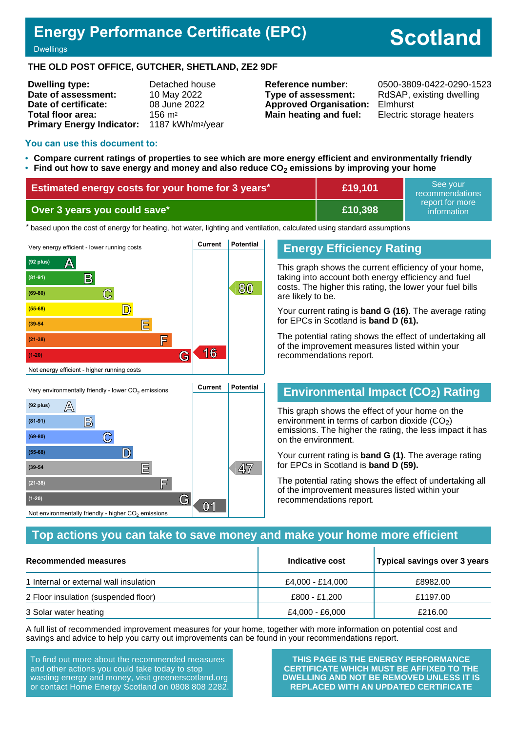## **Energy Performance Certificate (EPC)**

# **Scotland**

**Dwellings** 

#### **THE OLD POST OFFICE, GUTCHER, SHETLAND, ZE2 9DF**

| <b>Dwelling type:</b>            | Detached house                |
|----------------------------------|-------------------------------|
| Date of assessment:              | 10 May 2022                   |
| Date of certificate:             | 08 June 2022                  |
| Total floor area:                | $156 \text{ m}^2$             |
| <b>Primary Energy Indicator:</b> | 1187 kWh/m <sup>2</sup> /year |

**Type of assessment:** RdSAP, existing dwelling **Approved Organisation:** Elmhurst **Main heating and fuel:** Electric storage heaters

**Reference number:** 0500-3809-0422-0290-1523

#### **You can use this document to:**

- **Compare current ratings of properties to see which are more energy efficient and environmentally friendly**
- **Find out how to save energy and money and also reduce CO2 emissions by improving your home**

| Estimated energy costs for your home for 3 years* | £19,101 | See vour<br>recommendations<br>report for more<br>information |
|---------------------------------------------------|---------|---------------------------------------------------------------|
| Over 3 years you could save*                      | £10,398 |                                                               |

the based upon the cost of energy for heating, hot water, lighting and ventilation, calculated using standard assumptions



**E 47 (39-54**

**(21-38) F**

Not environmentally friendly - higher  $\mathrm{CO}_2$  emissions

**(1-20) G**

## **Energy Efficiency Rating**

This graph shows the current efficiency of your home, taking into account both energy efficiency and fuel costs. The higher this rating, the lower your fuel bills are likely to be.

Your current rating is **band G (16)**. The average rating for EPCs in Scotland is **band D (61).**

The potential rating shows the effect of undertaking all of the improvement measures listed within your recommendations report.

## **Environmental Impact (CO2) Rating**

This graph shows the effect of your home on the environment in terms of carbon dioxide  $(CO<sub>2</sub>)$ emissions. The higher the rating, the less impact it has on the environment.

Your current rating is **band G (1)**. The average rating for EPCs in Scotland is **band D (59).**

The potential rating shows the effect of undertaking all of the improvement measures listed within your recommendations report.

## **Top actions you can take to save money and make your home more efficient**

**01**

| <b>Recommended measures</b>            | Indicative cost  | Typical savings over 3 years |
|----------------------------------------|------------------|------------------------------|
| 1 Internal or external wall insulation | £4,000 - £14,000 | £8982.00                     |
| 2 Floor insulation (suspended floor)   | £800 - £1,200    | £1197.00                     |
| 3 Solar water heating                  | £4,000 - £6,000  | £216.00                      |

A full list of recommended improvement measures for your home, together with more information on potential cost and savings and advice to help you carry out improvements can be found in your recommendations report.

To find out more about the recommended measures and other actions you could take today to stop wasting energy and money, visit greenerscotland.org or contact Home Energy Scotland on 0808 808 2282.

**THIS PAGE IS THE ENERGY PERFORMANCE CERTIFICATE WHICH MUST BE AFFIXED TO THE DWELLING AND NOT BE REMOVED UNLESS IT IS REPLACED WITH AN UPDATED CERTIFICATE**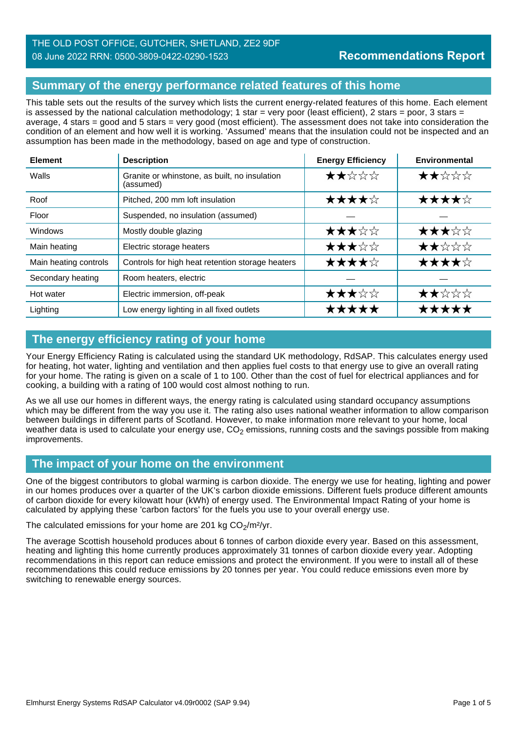## THE OLD POST OFFICE, GUTCHER, SHETLAND, ZE2 9DF 08 June 2022 RRN: 0500-3809-0422-0290-1523

## **Summary of the energy performance related features of this home**

This table sets out the results of the survey which lists the current energy-related features of this home. Each element is assessed by the national calculation methodology; 1 star = very poor (least efficient), 2 stars = poor, 3 stars = average, 4 stars = good and 5 stars = very good (most efficient). The assessment does not take into consideration the condition of an element and how well it is working. 'Assumed' means that the insulation could not be inspected and an assumption has been made in the methodology, based on age and type of construction.

| <b>Element</b>        | <b>Description</b>                                         | <b>Energy Efficiency</b> | Environmental |
|-----------------------|------------------------------------------------------------|--------------------------|---------------|
| Walls                 | Granite or whinstone, as built, no insulation<br>(assumed) | ★★☆☆☆                    | ★★☆☆☆         |
| Roof                  | Pitched, 200 mm loft insulation                            | ★★★★☆                    | ★★★★☆         |
| Floor                 | Suspended, no insulation (assumed)                         |                          |               |
| <b>Windows</b>        | Mostly double glazing                                      | ★★★☆☆                    | ★★★☆☆         |
| Main heating          | Electric storage heaters                                   | ★★★☆☆                    | ★★☆☆☆         |
| Main heating controls | Controls for high heat retention storage heaters           | ★★★★☆                    | ★★★★☆         |
| Secondary heating     | Room heaters, electric                                     |                          |               |
| Hot water             | Electric immersion, off-peak                               | ★★★☆☆                    | ★★☆☆☆         |
| Lighting              | Low energy lighting in all fixed outlets                   | *****                    | *****         |

## **The energy efficiency rating of your home**

Your Energy Efficiency Rating is calculated using the standard UK methodology, RdSAP. This calculates energy used for heating, hot water, lighting and ventilation and then applies fuel costs to that energy use to give an overall rating for your home. The rating is given on a scale of 1 to 100. Other than the cost of fuel for electrical appliances and for cooking, a building with a rating of 100 would cost almost nothing to run.

As we all use our homes in different ways, the energy rating is calculated using standard occupancy assumptions which may be different from the way you use it. The rating also uses national weather information to allow comparison between buildings in different parts of Scotland. However, to make information more relevant to your home, local weather data is used to calculate your energy use,  $CO<sub>2</sub>$  emissions, running costs and the savings possible from making improvements.

## **The impact of your home on the environment**

One of the biggest contributors to global warming is carbon dioxide. The energy we use for heating, lighting and power in our homes produces over a quarter of the UK's carbon dioxide emissions. Different fuels produce different amounts of carbon dioxide for every kilowatt hour (kWh) of energy used. The Environmental Impact Rating of your home is calculated by applying these 'carbon factors' for the fuels you use to your overall energy use.

The calculated emissions for your home are 201 kg  $CO<sub>2</sub>/m<sup>2</sup>/yr$ .

The average Scottish household produces about 6 tonnes of carbon dioxide every year. Based on this assessment, heating and lighting this home currently produces approximately 31 tonnes of carbon dioxide every year. Adopting recommendations in this report can reduce emissions and protect the environment. If you were to install all of these recommendations this could reduce emissions by 20 tonnes per year. You could reduce emissions even more by switching to renewable energy sources.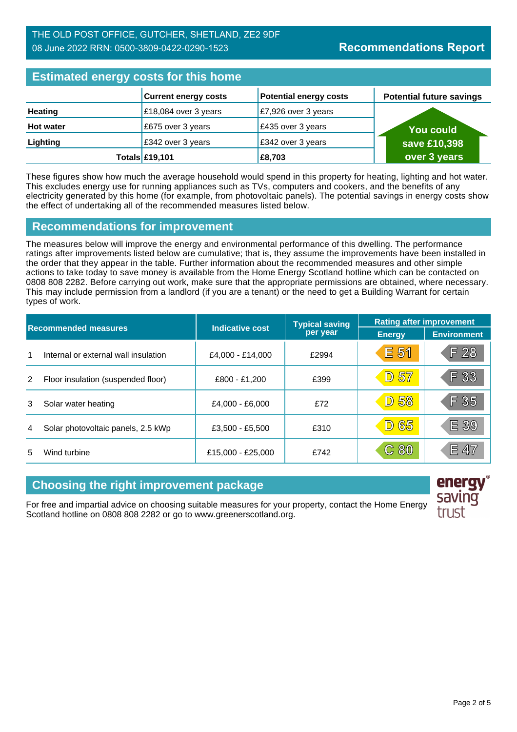| <b>Estimated energy costs for this home</b> |                             |                                |                                 |  |
|---------------------------------------------|-----------------------------|--------------------------------|---------------------------------|--|
|                                             | <b>Current energy costs</b> | <b>Potential energy costs</b>  | <b>Potential future savings</b> |  |
| <b>Heating</b>                              | £18,084 over 3 years        | $\mathsf{E}7,926$ over 3 years |                                 |  |
| <b>Hot water</b>                            | £675 over 3 years           | £435 over 3 years              | <b>You could</b>                |  |
| Lighting                                    | £342 over 3 years           | £342 over 3 years              | save £10,398                    |  |
|                                             | Totals £19,101              | £8,703                         | over 3 years                    |  |

These figures show how much the average household would spend in this property for heating, lighting and hot water. This excludes energy use for running appliances such as TVs, computers and cookers, and the benefits of any electricity generated by this home (for example, from photovoltaic panels). The potential savings in energy costs show the effect of undertaking all of the recommended measures listed below.

## **Recommendations for improvement**

The measures below will improve the energy and environmental performance of this dwelling. The performance ratings after improvements listed below are cumulative; that is, they assume the improvements have been installed in the order that they appear in the table. Further information about the recommended measures and other simple actions to take today to save money is available from the Home Energy Scotland hotline which can be contacted on 0808 808 2282. Before carrying out work, make sure that the appropriate permissions are obtained, where necessary. This may include permission from a landlord (if you are a tenant) or the need to get a Building Warrant for certain types of work.

| <b>Recommended measures</b> |                                      |                        | <b>Typical saving</b> | <b>Rating after improvement</b> |                    |
|-----------------------------|--------------------------------------|------------------------|-----------------------|---------------------------------|--------------------|
|                             |                                      | <b>Indicative cost</b> | per year              | <b>Energy</b>                   | <b>Environment</b> |
| 1                           | Internal or external wall insulation | £4,000 - £14,000       | £2994                 | E 51                            | F28                |
| 2                           | Floor insulation (suspended floor)   | £800 - £1,200          | £399                  | D 57                            | F 33               |
| 3                           | Solar water heating                  | £4,000 - £6,000        | £72                   | 58<br>$\boxed{D}$               | F 35               |
| 4                           | Solar photovoltaic panels, 2.5 kWp   | £3,500 - £5,500        | £310                  | <b>D 65</b>                     | E 39               |
| 5                           | Wind turbine                         | £15,000 - £25,000      | £742                  | C80                             | E 47               |

## **Choosing the right improvement package**

For free and impartial advice on choosing suitable measures for your property, contact the Home Energy Scotland hotline on 0808 808 2282 or go to www.greenerscotland.org.



energy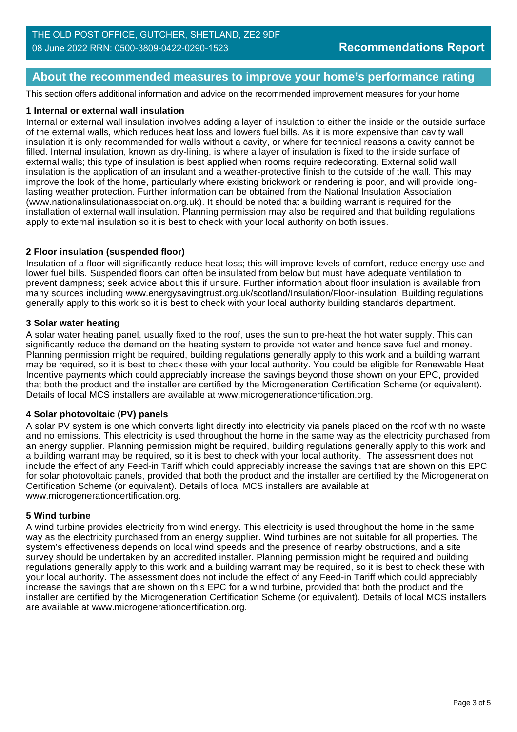## **About the recommended measures to improve your home's performance rating**

This section offers additional information and advice on the recommended improvement measures for your home

#### **1 Internal or external wall insulation**

Internal or external wall insulation involves adding a layer of insulation to either the inside or the outside surface of the external walls, which reduces heat loss and lowers fuel bills. As it is more expensive than cavity wall insulation it is only recommended for walls without a cavity, or where for technical reasons a cavity cannot be filled. Internal insulation, known as dry-lining, is where a layer of insulation is fixed to the inside surface of external walls; this type of insulation is best applied when rooms require redecorating. External solid wall insulation is the application of an insulant and a weather-protective finish to the outside of the wall. This may improve the look of the home, particularly where existing brickwork or rendering is poor, and will provide longlasting weather protection. Further information can be obtained from the National Insulation Association (www.nationalinsulationassociation.org.uk). It should be noted that a building warrant is required for the installation of external wall insulation. Planning permission may also be required and that building regulations apply to external insulation so it is best to check with your local authority on both issues.

#### **2 Floor insulation (suspended floor)**

Insulation of a floor will significantly reduce heat loss; this will improve levels of comfort, reduce energy use and lower fuel bills. Suspended floors can often be insulated from below but must have adequate ventilation to prevent dampness; seek advice about this if unsure. Further information about floor insulation is available from many sources including www.energysavingtrust.org.uk/scotland/Insulation/Floor-insulation. Building regulations generally apply to this work so it is best to check with your local authority building standards department.

#### **3 Solar water heating**

A solar water heating panel, usually fixed to the roof, uses the sun to pre-heat the hot water supply. This can significantly reduce the demand on the heating system to provide hot water and hence save fuel and money. Planning permission might be required, building regulations generally apply to this work and a building warrant may be required, so it is best to check these with your local authority. You could be eligible for Renewable Heat Incentive payments which could appreciably increase the savings beyond those shown on your EPC, provided that both the product and the installer are certified by the Microgeneration Certification Scheme (or equivalent). Details of local MCS installers are available at www.microgenerationcertification.org.

#### **4 Solar photovoltaic (PV) panels**

A solar PV system is one which converts light directly into electricity via panels placed on the roof with no waste and no emissions. This electricity is used throughout the home in the same way as the electricity purchased from an energy supplier. Planning permission might be required, building regulations generally apply to this work and a building warrant may be required, so it is best to check with your local authority. The assessment does not include the effect of any Feed-in Tariff which could appreciably increase the savings that are shown on this EPC for solar photovoltaic panels, provided that both the product and the installer are certified by the Microgeneration Certification Scheme (or equivalent). Details of local MCS installers are available at www.microgenerationcertification.org.

#### **5 Wind turbine**

A wind turbine provides electricity from wind energy. This electricity is used throughout the home in the same way as the electricity purchased from an energy supplier. Wind turbines are not suitable for all properties. The system's effectiveness depends on local wind speeds and the presence of nearby obstructions, and a site survey should be undertaken by an accredited installer. Planning permission might be required and building regulations generally apply to this work and a building warrant may be required, so it is best to check these with your local authority. The assessment does not include the effect of any Feed-in Tariff which could appreciably increase the savings that are shown on this EPC for a wind turbine, provided that both the product and the installer are certified by the Microgeneration Certification Scheme (or equivalent). Details of local MCS installers are available at www.microgenerationcertification.org.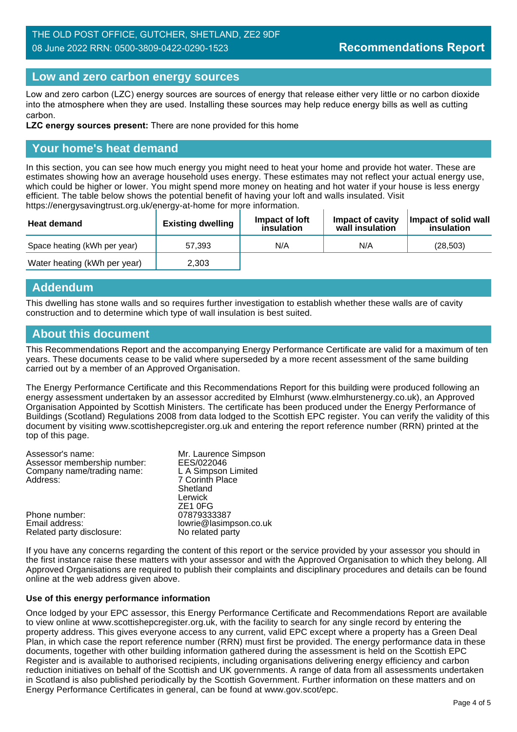## THE OLD POST OFFICE, GUTCHER, SHETLAND, ZE2 9DF 08 June 2022 RRN: 0500-3809-0422-0290-1523

## **Low and zero carbon energy sources**

Low and zero carbon (LZC) energy sources are sources of energy that release either very little or no carbon dioxide into the atmosphere when they are used. Installing these sources may help reduce energy bills as well as cutting carbon.

**LZC energy sources present:** There are none provided for this home

## **Your home's heat demand**

In this section, you can see how much energy you might need to heat your home and provide hot water. These are estimates showing how an average household uses energy. These estimates may not reflect your actual energy use, which could be higher or lower. You might spend more money on heating and hot water if your house is less energy efficient. The table below shows the potential benefit of having your loft and walls insulated. Visit https://energysavingtrust.org.uk/energy-at-home for more information. J.

| <b>Heat demand</b>           | <b>Existing dwelling</b> | Impact of loft<br>insulation | Impact of cavity<br>wall insulation | Impact of solid wall<br>insulation |
|------------------------------|--------------------------|------------------------------|-------------------------------------|------------------------------------|
| Space heating (kWh per year) | 57.393                   | N/A                          | N/A                                 | (28.503)                           |
| Water heating (kWh per year) | 2,303                    |                              |                                     |                                    |

### **Addendum**

This dwelling has stone walls and so requires further investigation to establish whether these walls are of cavity construction and to determine which type of wall insulation is best suited.

## **About this document**

This Recommendations Report and the accompanying Energy Performance Certificate are valid for a maximum of ten years. These documents cease to be valid where superseded by a more recent assessment of the same building carried out by a member of an Approved Organisation.

The Energy Performance Certificate and this Recommendations Report for this building were produced following an energy assessment undertaken by an assessor accredited by Elmhurst (www.elmhurstenergy.co.uk), an Approved Organisation Appointed by Scottish Ministers. The certificate has been produced under the Energy Performance of Buildings (Scotland) Regulations 2008 from data lodged to the Scottish EPC register. You can verify the validity of this document by visiting www.scottishepcregister.org.uk and entering the report reference number (RRN) printed at the top of this page.

| Mr. Laurence Simpson   |
|------------------------|
| EES/022046             |
| L A Simpson Limited    |
| 7 Corinth Place        |
| Shetland               |
| Lerwick                |
| ZE <sub>1</sub> OFG    |
| 07879333387            |
| lowrie@lasimpson.co.uk |
| No related party       |
|                        |

If you have any concerns regarding the content of this report or the service provided by your assessor you should in the first instance raise these matters with your assessor and with the Approved Organisation to which they belong. All Approved Organisations are required to publish their complaints and disciplinary procedures and details can be found online at the web address given above.

#### **Use of this energy performance information**

Once lodged by your EPC assessor, this Energy Performance Certificate and Recommendations Report are available to view online at www.scottishepcregister.org.uk, with the facility to search for any single record by entering the property address. This gives everyone access to any current, valid EPC except where a property has a Green Deal Plan, in which case the report reference number (RRN) must first be provided. The energy performance data in these documents, together with other building information gathered during the assessment is held on the Scottish EPC Register and is available to authorised recipients, including organisations delivering energy efficiency and carbon reduction initiatives on behalf of the Scottish and UK governments. A range of data from all assessments undertaken in Scotland is also published periodically by the Scottish Government. Further information on these matters and on Energy Performance Certificates in general, can be found at www.gov.scot/epc.